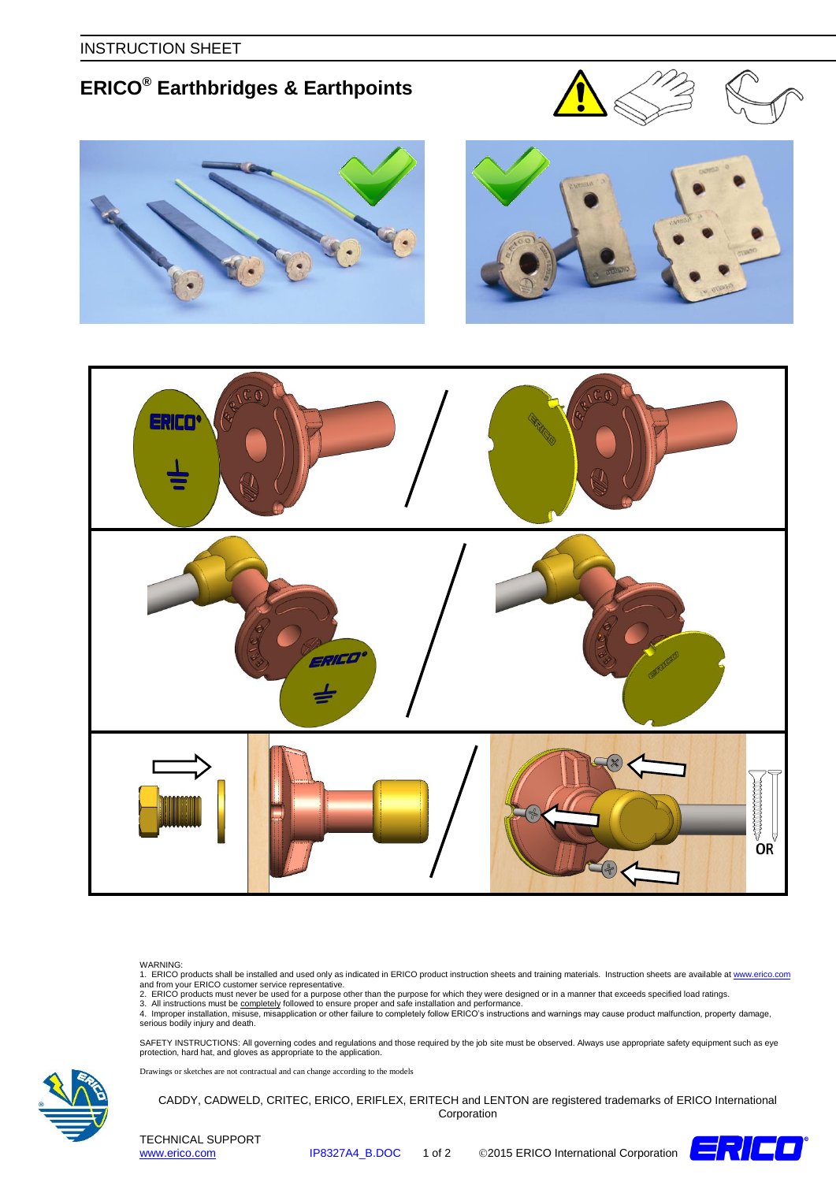INSTRUCTION SHEET

## **ERICO® Earthbridges & Earthpoints**









## WARNING:

1. ERICO products shall be installed and used only as indicated in ERICO product instruction sheets and training materials. Instruction sheets are available at <u>www.erico.com</u><br>and from your ERICO customer service represe

3. All instructions must be <u>completely</u> followed to ensure proper and safe installation and performance.<br>4. Improper installation, misuse, misapplication or other failure to completely follow ERICO's instructions and war serious bodily injury and death.

SAFETY INSTRUCTIONS: All governing codes and regulations and those required by the job site must be observed. Always use appropriate safety equipment such as eye<br>protection, hard hat, and gloves as appropriate to the appli

Drawings or sketches are not contractual and can change according to the models





TECHNICAL SUPPORT TECHNICAL SUPPORT<br>WWW.erico.com **IP8327A4\_B.DOC** 1 of 2 ©2015 ERICO International Corporation  $\Box$